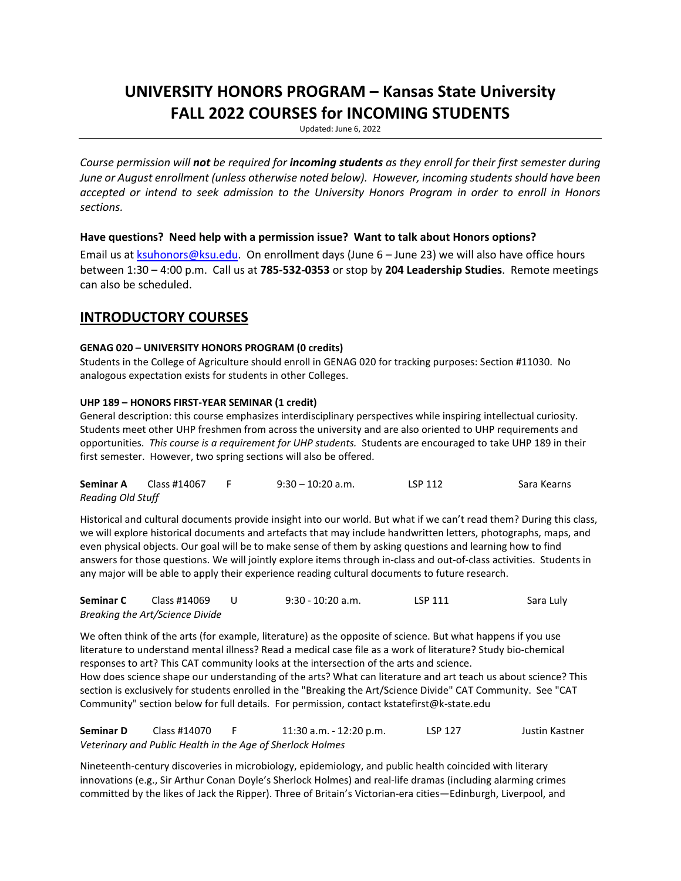# **UNIVERSITY HONORS PROGRAM – Kansas State University FALL 2022 COURSES for INCOMING STUDENTS**

Updated: June 6, 2022

*Course permission will not be required for incoming students as they enroll for their first semester during June or August enrollment (unless otherwise noted below). However, incoming students should have been accepted or intend to seek admission to the University Honors Program in order to enroll in Honors sections.*

### **Have questions? Need help with a permission issue? Want to talk about Honors options?**

Email us at [ksuhonors@ksu.edu.](mailto:ksuhonors@ksu.edu) On enrollment days (June 6 – June 23) we will also have office hours between 1:30 – 4:00 p.m. Call us at **785-532-0353** or stop by **204 Leadership Studies**. Remote meetings can also be scheduled.

### **INTRODUCTORY COURSES**

### **GENAG 020 – UNIVERSITY HONORS PROGRAM (0 credits)**

Students in the College of Agriculture should enroll in GENAG 020 for tracking purposes: Section #11030. No analogous expectation exists for students in other Colleges.

### **UHP 189 – HONORS FIRST-YEAR SEMINAR (1 credit)**

General description: this course emphasizes interdisciplinary perspectives while inspiring intellectual curiosity. Students meet other UHP freshmen from across the university and are also oriented to UHP requirements and opportunities. *This course is a requirement for UHP students.* Students are encouraged to take UHP 189 in their first semester. However, two spring sections will also be offered.

| Seminar A                | Class #14067 | $9:30 - 10:20$ a.m. | LSP 112 | Sara Kearns |
|--------------------------|--------------|---------------------|---------|-------------|
| <b>Reading Old Stuff</b> |              |                     |         |             |

Historical and cultural documents provide insight into our world. But what if we can't read them? During this class, we will explore historical documents and artefacts that may include handwritten letters, photographs, maps, and even physical objects. Our goal will be to make sense of them by asking questions and learning how to find answers for those questions. We will jointly explore items through in-class and out-of-class activities. Students in any major will be able to apply their experience reading cultural documents to future research.

| Seminar C | Class #14069                    | 9:30 - 10:20 a.m. | LSP 111 | Sara Luly |
|-----------|---------------------------------|-------------------|---------|-----------|
|           | Breaking the Art/Science Divide |                   |         |           |

We often think of the arts (for example, literature) as the opposite of science. But what happens if you use literature to understand mental illness? Read a medical case file as a work of literature? Study bio-chemical responses to art? This CAT community looks at the intersection of the arts and science. How does science shape our understanding of the arts? What can literature and art teach us about science? This section is exclusively for students enrolled in the "Breaking the Art/Science Divide" CAT Community. See "CAT Community" section below for full details. For permission, contact kstatefirst@k-state.edu

**Seminar D** Class #14070 F 11:30 a.m. - 12:20 p.m. LSP 127 Justin Kastner *Veterinary and Public Health in the Age of Sherlock Holmes*

Nineteenth-century discoveries in microbiology, epidemiology, and public health coincided with literary innovations (e.g., Sir Arthur Conan Doyle's Sherlock Holmes) and real-life dramas (including alarming crimes committed by the likes of Jack the Ripper). Three of Britain's Victorian-era cities—Edinburgh, Liverpool, and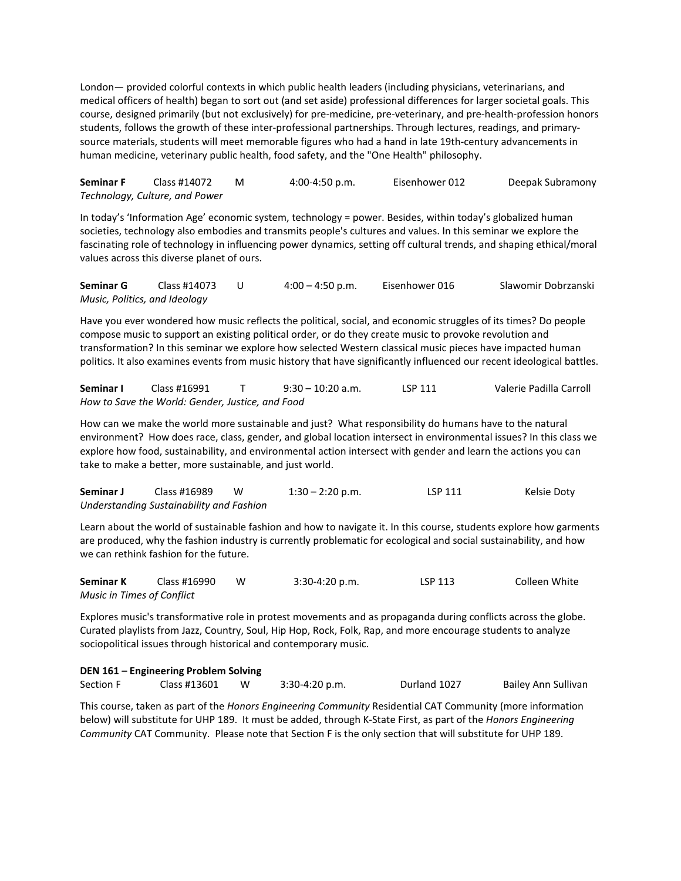London— provided colorful contexts in which public health leaders (including physicians, veterinarians, and medical officers of health) began to sort out (and set aside) professional differences for larger societal goals. This course, designed primarily (but not exclusively) for pre-medicine, pre-veterinary, and pre-health-profession honors students, follows the growth of these inter-professional partnerships. Through lectures, readings, and primarysource materials, students will meet memorable figures who had a hand in late 19th-century advancements in human medicine, veterinary public health, food safety, and the "One Health" philosophy.

**Seminar F** Class #14072 M 4:00-4:50 p.m. Eisenhower 012 Deepak Subramony *Technology, Culture, and Power*

In today's 'Information Age' economic system, technology = power. Besides, within today's globalized human societies, technology also embodies and transmits people's cultures and values. In this seminar we explore the fascinating role of technology in influencing power dynamics, setting off cultural trends, and shaping ethical/moral values across this diverse planet of ours.

**Seminar G** Class #14073 U 4:00 – 4:50 p.m. Eisenhower 016 Slawomir Dobrzanski *Music, Politics, and Ideology*

Have you ever wondered how music reflects the political, social, and economic struggles of its times? Do people compose music to support an existing political order, or do they create music to provoke revolution and transformation? In this seminar we explore how selected Western classical music pieces have impacted human politics. It also examines events from music history that have significantly influenced our recent ideological battles.

**Seminar I** Class #16991 T 9:30 – 10:20 a.m. LSP 111 Valerie Padilla Carroll *How to Save the World: Gender, Justice, and Food*

How can we make the world more sustainable and just? What responsibility do humans have to the natural environment? How does race, class, gender, and global location intersect in environmental issues? In this class we explore how food, sustainability, and environmental action intersect with gender and learn the actions you can take to make a better, more sustainable, and just world.

| Seminar J | Class #16989                             | W | $1:30 - 2:20$ p.m. | <b>LSP 111</b> | Kelsie Doty |
|-----------|------------------------------------------|---|--------------------|----------------|-------------|
|           | Understanding Sustainability and Fashion |   |                    |                |             |

Learn about the world of sustainable fashion and how to navigate it. In this course, students explore how garments are produced, why the fashion industry is currently problematic for ecological and social sustainability, and how we can rethink fashion for the future.

| Seminar K                  | Class #16990 | $3:30-4:20 p.m.$ | LSP 113 | Colleen White |
|----------------------------|--------------|------------------|---------|---------------|
| Music in Times of Conflict |              |                  |         |               |

Explores music's transformative role in protest movements and as propaganda during conflicts across the globe. Curated playlists from Jazz, Country, Soul, Hip Hop, Rock, Folk, Rap, and more encourage students to analyze sociopolitical issues through historical and contemporary music.

| Section F | Class #13601 |  | $3:30-4:20 p.m.$ | Durland 1027 | Bailey Ann Sullivan |
|-----------|--------------|--|------------------|--------------|---------------------|
|-----------|--------------|--|------------------|--------------|---------------------|

This course, taken as part of the *Honors Engineering Community* Residential CAT Community (more information below) will substitute for UHP 189. It must be added, through K-State First, as part of the *Honors Engineering Community* CAT Community. Please note that Section F is the only section that will substitute for UHP 189.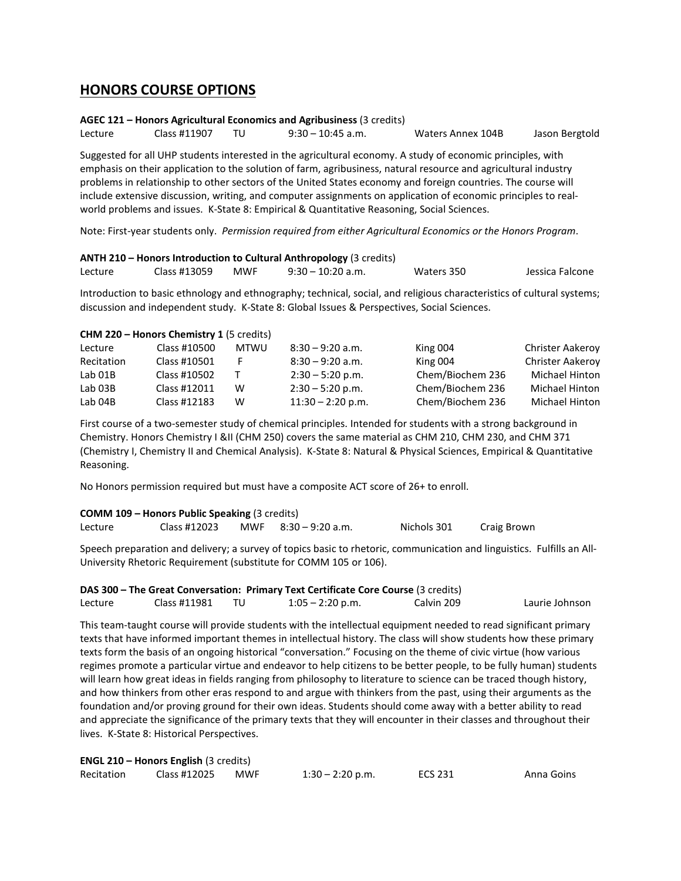### **HONORS COURSE OPTIONS**

### **AGEC 121 – Honors Agricultural Economics and Agribusiness** (3 credits)

Lecture Class #11907 TU 9:30 – 10:45 a.m. Waters Annex 104B Jason Bergtold

Suggested for all UHP students interested in the agricultural economy. A study of economic principles, with emphasis on their application to the solution of farm, agribusiness, natural resource and agricultural industry problems in relationship to other sectors of the United States economy and foreign countries. The course will include extensive discussion, writing, and computer assignments on application of economic principles to realworld problems and issues. K-State 8: Empirical & Quantitative Reasoning, Social Sciences.

Note: First-year students only. *Permission required from either Agricultural Economics or the Honors Program*.

### **ANTH 210 – Honors Introduction to Cultural Anthropology** (3 credits)

| Lecture | Class #13059 | <b>MWF</b> | $9:30 - 10:20$ a.m. | Waters 350 | Jessica Falcone |
|---------|--------------|------------|---------------------|------------|-----------------|
|         |              |            |                     |            |                 |

Introduction to basic ethnology and ethnography; technical, social, and religious characteristics of cultural systems; discussion and independent study. K-State 8: Global Issues & Perspectives, Social Sciences.

### **CHM 220 – Honors Chemistry 1** (5 credits)

| Lecture    | Class #10500 | MTWU | $8:30 - 9:20$ a.m.  | King 004         | <b>Christer Aakeroy</b> |
|------------|--------------|------|---------------------|------------------|-------------------------|
| Recitation | Class #10501 |      | $8:30 - 9:20$ a.m.  | King 004         | Christer Aakeroy        |
| Lab 01B    | Class #10502 |      | $2:30 - 5:20$ p.m.  | Chem/Biochem 236 | Michael Hinton          |
| Lab 03B    | Class #12011 | w    | $2:30 - 5:20$ p.m.  | Chem/Biochem 236 | Michael Hinton          |
| Lab 04B    | Class #12183 | W    | $11:30 - 2:20$ p.m. | Chem/Biochem 236 | Michael Hinton          |

First course of a two-semester study of chemical principles. Intended for students with a strong background in Chemistry. Honors Chemistry I &II (CHM 250) covers the same material as CHM 210, CHM 230, and CHM 371 (Chemistry I, Chemistry II and Chemical Analysis). K-State 8: Natural & Physical Sciences, Empirical & Quantitative Reasoning.

No Honors permission required but must have a composite ACT score of 26+ to enroll.

### **COMM 109 – Honors Public Speaking** (3 credits)

| Lecture | Class #12023 |  | MWF $8:30 - 9:20$ a.m. | Nichols 301 | Craig Brown |
|---------|--------------|--|------------------------|-------------|-------------|
|---------|--------------|--|------------------------|-------------|-------------|

Speech preparation and delivery; a survey of topics basic to rhetoric, communication and linguistics. Fulfills an All-University Rhetoric Requirement (substitute for COMM 105 or 106).

### **DAS 300 – The Great Conversation: Primary Text Certificate Core Course** (3 credits)

| Lecture | Class #11981 | $1:05 - 2:20$ p.m. | Calvin 209 | Laurie Johnson |
|---------|--------------|--------------------|------------|----------------|
|         |              |                    |            |                |

This team-taught course will provide students with the intellectual equipment needed to read significant primary texts that have informed important themes in intellectual history. The class will show students how these primary texts form the basis of an ongoing historical "conversation." Focusing on the theme of civic virtue (how various regimes promote a particular virtue and endeavor to help citizens to be better people, to be fully human) students will learn how great ideas in fields ranging from philosophy to literature to science can be traced though history, and how thinkers from other eras respond to and argue with thinkers from the past, using their arguments as the foundation and/or proving ground for their own ideas. Students should come away with a better ability to read and appreciate the significance of the primary texts that they will encounter in their classes and throughout their lives. K-State 8: Historical Perspectives.

| <b>ENGL 210 - Honors English (3 credits)</b> |              |            |                    |         |            |  |  |
|----------------------------------------------|--------------|------------|--------------------|---------|------------|--|--|
| Recitation                                   | Class #12025 | <b>MWF</b> | $1:30 - 2:20$ p.m. | ECS 231 | Anna Goins |  |  |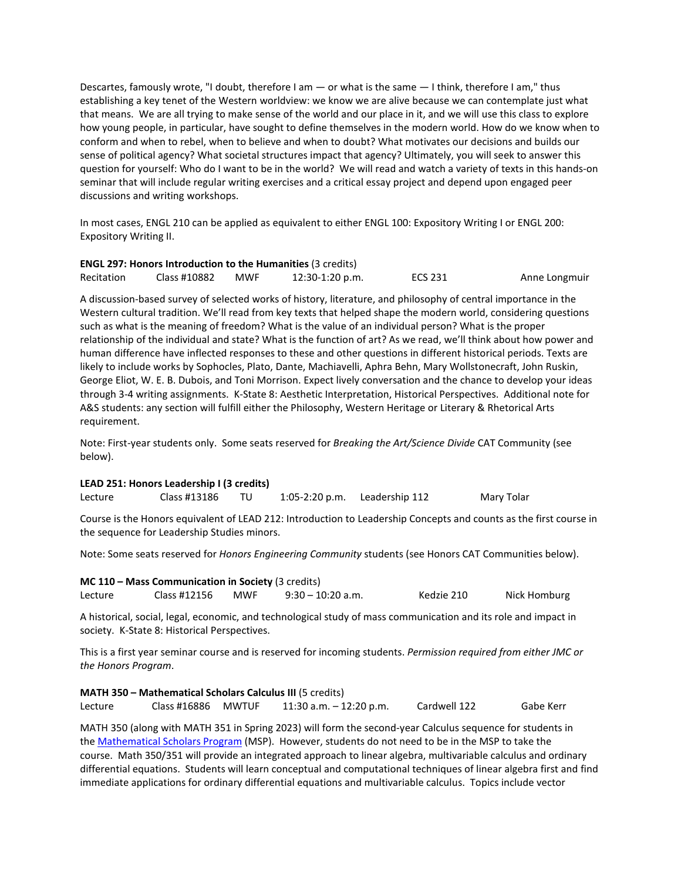Descartes, famously wrote, "I doubt, therefore I am — or what is the same — I think, therefore I am," thus establishing a key tenet of the Western worldview: we know we are alive because we can contemplate just what that means. We are all trying to make sense of the world and our place in it, and we will use this class to explore how young people, in particular, have sought to define themselves in the modern world. How do we know when to conform and when to rebel, when to believe and when to doubt? What motivates our decisions and builds our sense of political agency? What societal structures impact that agency? Ultimately, you will seek to answer this question for yourself: Who do I want to be in the world? We will read and watch a variety of texts in this hands-on seminar that will include regular writing exercises and a critical essay project and depend upon engaged peer discussions and writing workshops.

In most cases, ENGL 210 can be applied as equivalent to either ENGL 100: Expository Writing I or ENGL 200: Expository Writing II.

| <b>ENGL 297: Honors Introduction to the Humanities (3 credits)</b> |              |     |                 |         |               |  |  |
|--------------------------------------------------------------------|--------------|-----|-----------------|---------|---------------|--|--|
| Recitation                                                         | Class #10882 | MWF | 12:30-1:20 p.m. | ECS 231 | Anne Longmuir |  |  |

A discussion-based survey of selected works of history, literature, and philosophy of central importance in the Western cultural tradition. We'll read from key texts that helped shape the modern world, considering questions such as what is the meaning of freedom? What is the value of an individual person? What is the proper relationship of the individual and state? What is the function of art? As we read, we'll think about how power and human difference have inflected responses to these and other questions in different historical periods. Texts are likely to include works by Sophocles, Plato, Dante, Machiavelli, Aphra Behn, Mary Wollstonecraft, John Ruskin, George Eliot, W. E. B. Dubois, and Toni Morrison. Expect lively conversation and the chance to develop your ideas through 3-4 writing assignments. K-State 8: Aesthetic Interpretation, Historical Perspectives. Additional note for A&S students: any section will fulfill either the Philosophy, Western Heritage or Literary & Rhetorical Arts requirement.

Note: First-year students only. Some seats reserved for *Breaking the Art/Science Divide* CAT Community (see below).

### **LEAD 251: Honors Leadership I (3 credits)**

| Lecture | Class #13186 |  | $1:05-2:20$ p.m. | Leadership 112 | Mary Tolar |
|---------|--------------|--|------------------|----------------|------------|
|---------|--------------|--|------------------|----------------|------------|

Course is the Honors equivalent of LEAD 212: Introduction to Leadership Concepts and counts as the first course in the sequence for Leadership Studies minors.

Note: Some seats reserved for *Honors Engineering Community* students (see Honors CAT Communities below).

| <b>MC 110 - Mass Communication in Society (3 credits)</b> |              |            |                   |            |              |  |
|-----------------------------------------------------------|--------------|------------|-------------------|------------|--------------|--|
| Lecture                                                   | Class #12156 | <b>MWF</b> | 9:30 - 10:20 a.m. | Kedzie 210 | Nick Homburg |  |

A historical, social, legal, economic, and technological study of mass communication and its role and impact in society. K-State 8: Historical Perspectives.

This is a first year seminar course and is reserved for incoming students. *Permission required from either JMC or the Honors Program*.

**MATH 350 – Mathematical Scholars Calculus III** (5 credits) Lecture Class #16886 MWTUF 11:30 a.m. – 12:20 p.m. Cardwell 122 Gabe Kerr

MATH 350 (along with MATH 351 in Spring 2023) will form the second-year Calculus sequence for students in the [Mathematical Scholars Program](https://www.math.ksu.edu/ugrad/msp/) (MSP). However, students do not need to be in the MSP to take the course. Math 350/351 will provide an integrated approach to linear algebra, multivariable calculus and ordinary differential equations. Students will learn conceptual and computational techniques of linear algebra first and find immediate applications for ordinary differential equations and multivariable calculus. Topics include vector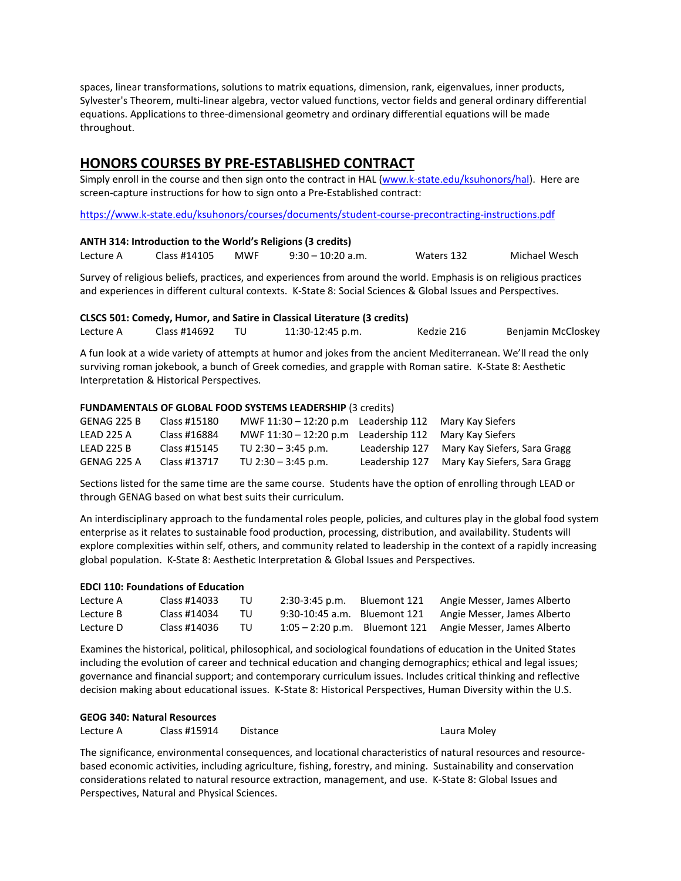spaces, linear transformations, solutions to matrix equations, dimension, rank, eigenvalues, inner products, Sylvester's Theorem, multi-linear algebra, vector valued functions, vector fields and general ordinary differential equations. Applications to three-dimensional geometry and ordinary differential equations will be made throughout.

### **HONORS COURSES BY PRE-ESTABLISHED CONTRACT**

Simply enroll in the course and then sign onto the contract in HAL [\(www.k-state.edu/ksuhonors/hal\)](http://www.k-state.edu/ksuhonors/hal). Here are screen-capture instructions for how to sign onto a Pre-Established contract:

<https://www.k-state.edu/ksuhonors/courses/documents/student-course-precontracting-instructions.pdf>

| ANTH 314: Introduction to the World's Religions (3 credits) |  |
|-------------------------------------------------------------|--|
|-------------------------------------------------------------|--|

Lecture A Class #14105 MWF 9:30 – 10:20 a.m. Waters 132 Michael Wesch

Survey of religious beliefs, practices, and experiences from around the world. Emphasis is on religious practices and experiences in different cultural contexts. K-State 8: Social Sciences & Global Issues and Perspectives.

|           | CLSCS 501: Comedy, Humor, and Satire in Classical Literature (3 credits) |  |                  |            |                    |
|-----------|--------------------------------------------------------------------------|--|------------------|------------|--------------------|
| Lecture A | Class #14692                                                             |  | 11:30-12:45 p.m. | Kedzie 216 | Benjamin McCloskey |

A fun look at a wide variety of attempts at humor and jokes from the ancient Mediterranean. We'll read the only surviving roman jokebook, a bunch of Greek comedies, and grapple with Roman satire. K-State 8: Aesthetic Interpretation & Historical Perspectives.

### **FUNDAMENTALS OF GLOBAL FOOD SYSTEMS LEADERSHIP** (3 credits)

| GENAG 225 B       | Class #15180 | MWF $11:30 - 12:20 p.m$ Leadership $112$ Mary Kay Siefers |                                             |
|-------------------|--------------|-----------------------------------------------------------|---------------------------------------------|
| LEAD 225 A        | Class #16884 | MWF $11:30 - 12:20 p.m$ Leadership $112$ Mary Kay Siefers |                                             |
| <b>LEAD 225 B</b> | Class #15145 | TU $2:30 - 3:45$ p.m.                                     | Leadership 127 Mary Kay Siefers, Sara Gragg |
| GENAG 225 A       | Class #13717 | TU 2:30 $-$ 3:45 p.m.                                     | Leadership 127 Mary Kay Siefers, Sara Gragg |

Sections listed for the same time are the same course. Students have the option of enrolling through LEAD or through GENAG based on what best suits their curriculum.

An interdisciplinary approach to the fundamental roles people, policies, and cultures play in the global food system enterprise as it relates to sustainable food production, processing, distribution, and availability. Students will explore complexities within self, others, and community related to leadership in the context of a rapidly increasing global population. K-State 8: Aesthetic Interpretation & Global Issues and Perspectives.

### **EDCI 110: Foundations of Education**

| Lecture A | Class #14033 | TU  | $2:30-3:45$ p.m. | Bluemont 121 | Angie Messer, James Alberto                               |
|-----------|--------------|-----|------------------|--------------|-----------------------------------------------------------|
| Lecture B | Class #14034 | TU. |                  |              | 9:30-10:45 a.m. Bluemont 121 Angie Messer, James Alberto  |
| Lecture D | Class #14036 | TU  |                  |              | 1:05 – 2:20 p.m. Bluemont 121 Angie Messer, James Alberto |

Examines the historical, political, philosophical, and sociological foundations of education in the United States including the evolution of career and technical education and changing demographics; ethical and legal issues; governance and financial support; and contemporary curriculum issues. Includes critical thinking and reflective decision making about educational issues. K-State 8: Historical Perspectives, Human Diversity within the U.S.

## **GEOG 340: Natural Resources**

Lecture A Class #15914 Distance Laura Moley Laura Moley

The significance, environmental consequences, and locational characteristics of natural resources and resourcebased economic activities, including agriculture, fishing, forestry, and mining. Sustainability and conservation considerations related to natural resource extraction, management, and use. K-State 8: Global Issues and Perspectives, Natural and Physical Sciences.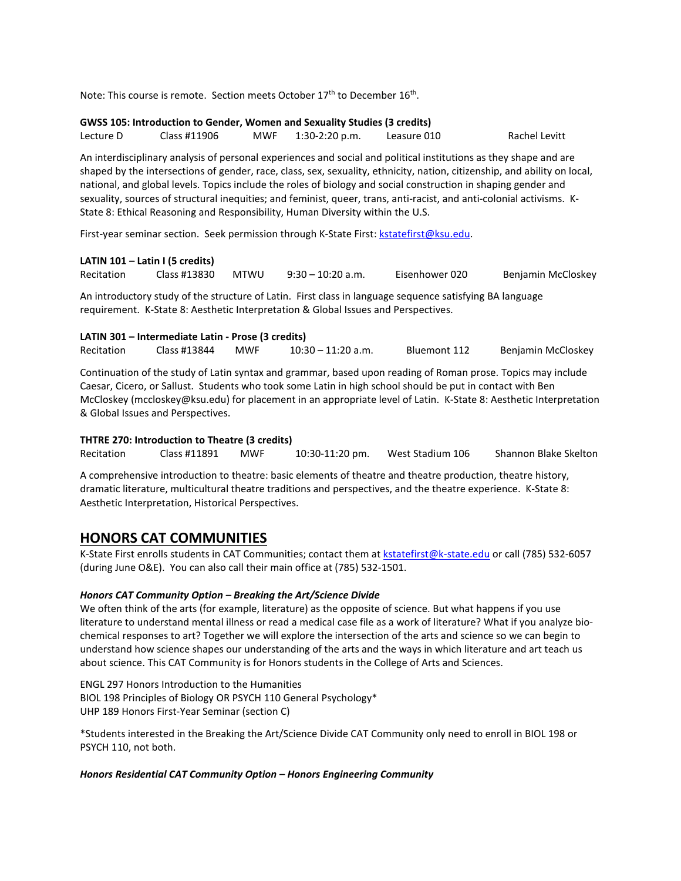Note: This course is remote. Section meets October 17<sup>th</sup> to December 16<sup>th</sup>.

### **GWSS 105: Introduction to Gender, Women and Sexuality Studies (3 credits)**

Lecture D Class #11906 MWF 1:30-2:20 p.m. Leasure 010 Rachel Levitt

An interdisciplinary analysis of personal experiences and social and political institutions as they shape and are shaped by the intersections of gender, race, class, sex, sexuality, ethnicity, nation, citizenship, and ability on local, national, and global levels. Topics include the roles of biology and social construction in shaping gender and sexuality, sources of structural inequities; and feminist, queer, trans, anti-racist, and anti-colonial activisms. K-State 8: Ethical Reasoning and Responsibility, Human Diversity within the U.S.

First-year seminar section. Seek permission through K-State First: [kstatefirst@ksu.edu.](mailto:kstatefirst@ksu.edu)

### **LATIN 101 – Latin I (5 credits)**

Recitation Class #13830 MTWU 9:30 – 10:20 a.m. Eisenhower 020 Benjamin McCloskey

An introductory study of the structure of Latin. First class in language sequence satisfying BA language requirement. K-State 8: Aesthetic Interpretation & Global Issues and Perspectives.

## **LATIN 301 – Intermediate Latin - Prose (3 credits)**

Recitation Class #13844 MWF 10:30 – 11:20 a.m. Bluemont 112 Benjamin McCloskey

Continuation of the study of Latin syntax and grammar, based upon reading of Roman prose. Topics may include Caesar, Cicero, or Sallust. Students who took some Latin in high school should be put in contact with Ben McCloskey (mccloskey@ksu.edu) for placement in an appropriate level of Latin. K-State 8: Aesthetic Interpretation & Global Issues and Perspectives.

### **THTRE 270: Introduction to Theatre (3 credits)**

Recitation Class #11891 MWF 10:30-11:20 pm. West Stadium 106 Shannon Blake Skelton

A comprehensive introduction to theatre: basic elements of theatre and theatre production, theatre history, dramatic literature, multicultural theatre traditions and perspectives, and the theatre experience. K-State 8: Aesthetic Interpretation, Historical Perspectives.

### **HONORS CAT COMMUNITIES**

K-State First enrolls students in CAT Communities; contact them a[t kstatefirst@k-state.edu](mailto:kstatefirst@k-state.edu) or call (785) 532-6057 (during June O&E). You can also call their main office at (785) 532-1501.

### *Honors CAT Community Option – Breaking the Art/Science Divide*

We often think of the arts (for example, literature) as the opposite of science. But what happens if you use literature to understand mental illness or read a medical case file as a work of literature? What if you analyze biochemical responses to art? Together we will explore the intersection of the arts and science so we can begin to understand how science shapes our understanding of the arts and the ways in which literature and art teach us about science. This CAT Community is for Honors students in the College of Arts and Sciences.

ENGL 297 Honors Introduction to the Humanities BIOL 198 Principles of Biology OR PSYCH 110 General Psychology\* UHP 189 Honors First-Year Seminar (section C)

\*Students interested in the Breaking the Art/Science Divide CAT Community only need to enroll in BIOL 198 or PSYCH 110, not both.

### *Honors Residential CAT Community Option – Honors Engineering Community*